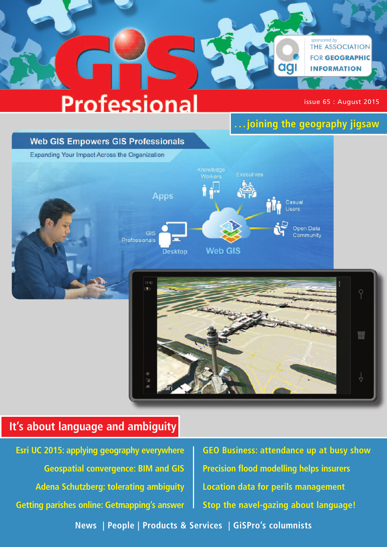# **Professional**

issue 65 : August 2015

**. . . joining the geography jigsaw**

agi

*sponsored by*<br>THE ASSOCIATION

**FOR GEOGRAPHIC** 

**INFORMATION** 

## **Web GIS Empowers GIS Professionals**

Expanding Your Impact Across the Organization





## **It's about language and ambiguity**

**Esri UC 2015: applying geography everywhere Geospatial convergence: BIM and GIS Adena Schutzberg: tolerating ambiguity Getting parishes online: Getmapping's answer**

**GEO Business: attendance up at busy show Precision flood modelling helps insurers Location data for perils management Stop the navel-gazing about language!**

**News | People | Products & Services | GiSPro's columnists**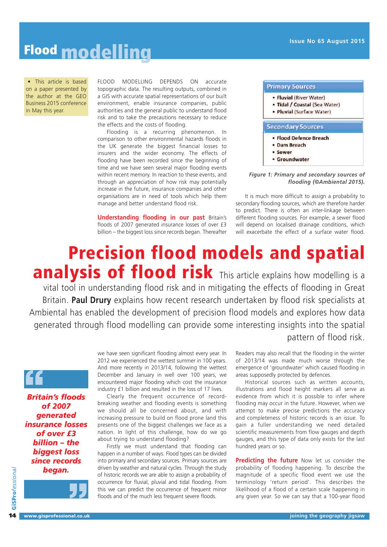• This article is based on a paper presented by the author at the GEO Business 2015 conference in May this year.

FLOOD MODELLING DEPENDS ON accurate topographic data. The resulting outputs, combined in a GIS with accurate spatial representations of our built environment, enable insurance companies, public authorities and the general public to understand flood risk and to take the precautions necessary to reduce the effects and the costs of flooding.

Flooding is a recurring phenomenon. In comparison to other environmental hazards floods in the UK generate the biggest financial losses to insurers and the wider economy. The effects of flooding have been recorded since the beginning of time and we have seen several major flooding events within recent memory. In reaction to these events, and through an appreciation of how risk may potentially increase in the future, insurance companies and other organisations are in need of tools which help them manage and better understand flood risk.

**Understanding flooding in our past** Britain's floods of 2007 generated insurance losses of over £3 billion – the biggest loss since records began. Thereafter

| • Fluvial (River Water)       |
|-------------------------------|
| · Tidal / Coastal (Sea Water) |
| • Pluvial (Surface Water)     |
| <b>Secondary Sources</b>      |
|                               |
| · Flood Defence Breach        |
| <b>Dam Breach</b>             |
| <b>Sewer</b>                  |

## *Figure 1: Primary and secondary sources of flooding (©Ambiental 2015).*

It is much more difficult to assign a probability to secondary flooding sources, which are therefore harder to predict. There is often an inter-linkage between different flooding sources. For example, a sewer flood will depend on localised drainage conditions, which will exacerbate the effect of a surface water flood.

# **Precision flood models and spatial analysis of flood risk** This article explains how modelling is <sup>a</sup>

vital tool in understanding flood risk and in mitigating the effects of flooding in Great Britain. **Paul Drury** explains how recent research undertaken by flood risk specialists at Ambiental has enabled the development of precision flood models and explores how data generated through flood modelling can provide some interesting insights into the spatial pattern of flood risk.

*Britain's floods* **"** *of 2007 generated insurance losses of over £3 billion – the biggest loss since records began.*



**GiSPro***fessio* **GiSPro**fessional we have seen significant flooding almost every year. In 2012 we experienced the wettest summer in 100 years. And more recently in 2013/14, following the wettest December and January in well over 100 years, we encountered major flooding which cost the insurance industry £1 billion and resulted in the loss of 17 lives.

Clearly the frequent occurrence of recordbreaking weather and flooding events is something we should all be concerned about, and with increasing pressure to build on flood prone land this presents one of the biggest challenges we face as a nation. In light of this challenge, how do we go about trying to understand flooding?

Firstly we must understand that flooding can happen in a number of ways. Flood types can be divided into primary and secondary sources. Primary sources are driven by weather and natural cycles. Through the study of historic records we are able to assign a probability of occurrence for fluvial, pluvial and tidal flooding. From this we can predict the occurrence of frequent minor floods and of the much less frequent severe floods.

Readers may also recall that the flooding in the winter of 2013/14 was made much worse through the emergence of 'groundwater' which caused flooding in areas supposedly protected by defences.

Historical sources such as written accounts, illustrations and flood height markers all serve as evidence from which it is possible to infer where flooding may occur in the future. However, when we attempt to make precise predictions the accuracy and completeness of historic records is an issue. To gain a fuller understanding we need detailed scientific measurements from flow gauges and depth gauges, and this type of data only exists for the last hundred years or so.

**Predicting the future** Now let us consider the probability of flooding happening. To describe the magnitude of a specific flood event we use the terminology 'return period'. This describes the likelihood of a flood of a certain scale happening in any given year. So we can say that a 100-year flood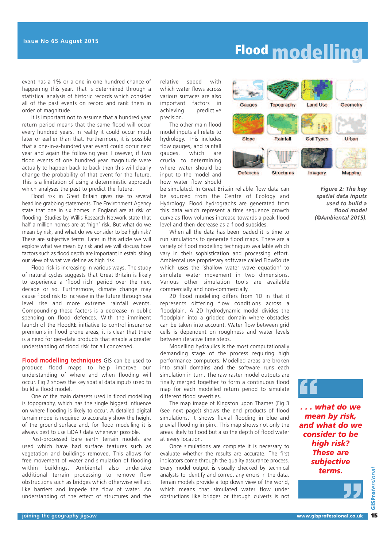event has a 1% or a one in one hundred chance of happening this year. That is determined through a statistical analysis of historic records which consider all of the past events on record and rank them in order of magnitude.

It is important not to assume that a hundred year return period means that the same flood will occur every hundred years. In reality it could occur much later or earlier than that. Furthermore, it is possible that a one-in-a-hundred year event could occur next year and again the following year. However, if two flood events of one hundred year magnitude were actually to happen back to back then this will clearly change the probability of that event for the future. This is a limitation of using a deterministic approach which analyses the past to predict the future.

Flood risk in Great Britain gives rise to several headline grabbing statements. The Environment Agency state that one in six homes in England are at risk of flooding. Studies by Willis Research Network state that half a million homes are at 'high' risk. But what do we mean by risk, and what do we consider to be high risk? These are subjective terms. Later in this article we will explore what we mean by risk and we will discuss how factors such as flood depth are important in establishing our view of what we define as high risk.

Flood risk is increasing in various ways. The study of natural cycles suggests that Great Britain is likely to experience a 'flood rich' period over the next decade or so. Furthermore, climate change may cause flood risk to increase in the future through sea level rise and more extreme rainfall events. Compounding these factors is a decrease in public spending on flood defences. With the imminent launch of the FloodRE initiative to control insurance premiums in flood prone areas, it is clear that there is a need for geo-data products that enable a greater understanding of flood risk for all concerned.

**Flood modelling techniques** GIS can be used to produce flood maps to help improve our understanding of where and when flooding will occur. Fig 2 shows the key spatial data inputs used to build a flood model.

One of the main datasets used in flood modelling is topography, which has the single biggest influence on where flooding is likely to occur. A detailed digital terrain model is required to accurately show the height of the ground surface and, for flood modelling it is always best to use LiDAR data whenever possible.

Post-processed bare earth terrain models are used which have had surface features such as vegetation and buildings removed. This allows for free movement of water and simulation of flooding within buildings. Ambiental also undertake additional terrain processing to remove flow obstructions such as bridges which otherwise will act like barriers and impede the flow of water. An understanding of the effect of structures and the

relative speed with which water flows across various surfaces are also important factors in achieving predictive precision.

The other main flood model inputs all relate to hydrology. This includes flow gauges, and rainfall gauges, which are crucial to determining where water should be input to the model and how water flow should



be simulated. In Great Britain reliable flow data can be sourced from the Centre of Ecology and Hydrology. Flood hydrographs are generated from this data which represent a time sequence growth curve as flow volumes increase towards a peak flood level and then decrease as a flood subsides.

When all the data has been loaded it is time to run simulations to generate flood maps. There are a variety of flood modelling techniques available which vary in their sophistication and processing effort. Ambiental use proprietary software called FlowRoute which uses the 'shallow water wave equation' to simulate water movement in two dimensions. Various other simulation tools are available commercially and non-commercially.

2D flood modelling differs from 1D in that it represents differing flow conditions across a floodplain. A 2D hydrodynamic model divides the floodplain into a gridded domain where obstacles can be taken into account. Water flow between grid cells is dependent on roughness and water levels between iterative time steps.

Modelling hydraulics is the most computationally demanding stage of the process requiring high performance computers. Modelled areas are broken into small domains and the software runs each simulation in turn. The raw raster model outputs are finally merged together to form a continuous flood map for each modelled return period to simulate different flood severities.

The map image of Kingston upon Thames (Fig 3 (see next page)) shows the end products of flood simulations. It shows fluvial flooding in blue and pluvial flooding in pink. This map shows not only the areas likely to flood but also the depth of flood water at every location.

Once simulations are complete it is necessary to evaluate whether the results are accurate. The first indicators come through the quality assurance process. Every model output is visually checked by technical analysts to identify and correct any errors in the data. Terrain models provide a top down view of the world, which means that simulated water flow under obstructions like bridges or through culverts is not

*Figure 2: The key spatial data inputs used to build a flood model (©Ambiental 2015).*



*mean by risk, and what do we consider to be high risk? These are subjective terms.* **"**

**15**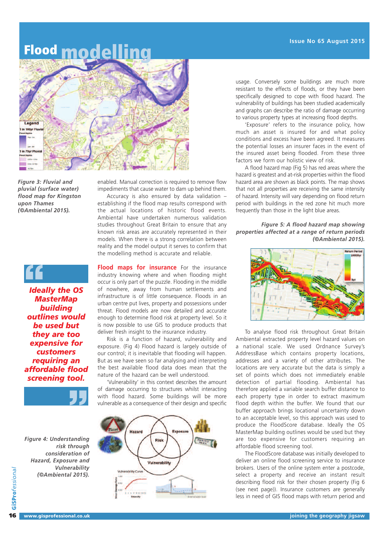

*Figure 3: Fluvial and pluvial (surface water) flood map for Kingston upon Thames (©Ambiental 2015).*

enabled. Manual correction is required to remove flow impediments that cause water to dam up behind them.

Accuracy is also ensured by data validation – establishing if the flood map results correspond with the actual locations of historic flood events. Ambiental have undertaken numerous validation studies throughout Great Britain to ensure that any known risk areas are accurately represented in their models. When there is a strong correlation between reality and the model output it serves to confirm that the modelling method is accurate and reliable.

# *Ideally the OS* **"**

*MasterMap building outlines would be used but they are too expensive for customers requiring an affordable flood*



*Figure 4: Understanding risk through consideration of Hazard, Exposure and Vulnerability (©Ambiental 2015).*

**Flood maps for insurance** For the insurance industry knowing where and when flooding might occur is only part of the puzzle. Flooding in the middle of nowhere, away from human settlements and infrastructure is of little consequence. Floods in an urban centre put lives, property and possessions under threat. Flood models are now detailed and accurate enough to determine flood risk at property level. So it is now possible to use GIS to produce products that deliver fresh insight to the insurance industry.

Risk is a function of hazard, vulnerability and exposure. (Fig 4) Flood hazard is largely outside of our control; it is inevitable that flooding will happen. But as we have seen so far analysing and interpreting the best available flood data does mean that the nature of the hazard can be well understood.

'Vulnerability' in this context describes the amount of damage occurring to structures whilst interacting with flood hazard. Some buildings will be more vulnerable as a consequence of their design and specific



usage. Conversely some buildings are much more resistant to the effects of floods, or they have been specifically designed to cope with flood hazard. The vulnerability of buildings has been studied academically and graphs can describe the ratio of damage occurring to various property types at increasing flood depths.

'Exposure' refers to the insurance policy, how much an asset is insured for and what policy conditions and excess have been agreed. It measures the potential losses an insurer faces in the event of the insured asset being flooded. From these three factors we form our holistic view of risk.

A flood hazard map (Fig 5) has red areas where the hazard is greatest and at-risk properties within the flood hazard area are shown as black points. The map shows that not all properties are receiving the same intensity of hazard. Intensity will vary depending on flood return period with buildings in the red zone hit much more frequently than those in the light blue areas.

### *Figure 5: A flood hazard map showing properties affected at a range of return periods (©Ambiental 2015).*



To analyse flood risk throughout Great Britain Ambiental extracted property level hazard values on a national scale. We used Ordnance Survey's AddressBase which contains property locations, addresses and a variety of other attributes. The locations are very accurate but the data is simply a set of points which does not immediately enable detection of partial flooding. Ambiental has therefore applied a variable search buffer distance to each property type in order to extract maximum flood depth within the buffer. We found that our buffer approach brings locational uncertainty down to an acceptable level, so this approach was used to produce the FloodScore database. Ideally the OS MasterMap building outlines would be used but they are too expensive for customers requiring an affordable flood screening tool.

The FloodScore database was initially developed to deliver an online flood screening service to insurance brokers. Users of the online system enter a postcode, select a property and receive an instant result describing flood risk for their chosen property (Fig 6 (see next page)). Insurance customers are generally less in need of GIS flood maps with return period and